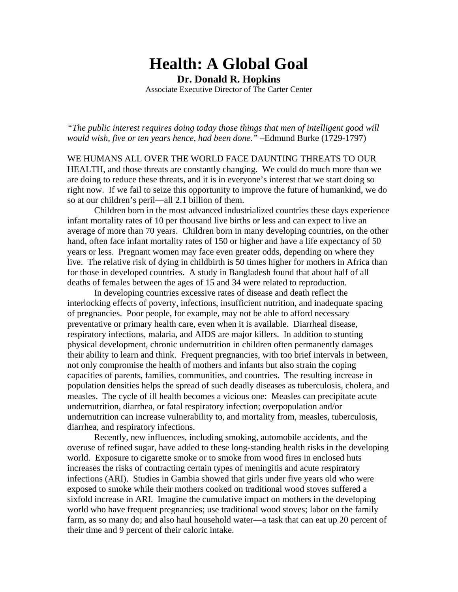## **Health: A Global Goal Dr. Donald R. Hopkins**

Associate Executive Director of The Carter Center

*"The public interest requires doing today those things that men of intelligent good will would wish, five or ten years hence, had been done." –*Edmund Burke (1729-1797)

WE HUMANS ALL OVER THE WORLD FACE DAUNTING THREATS TO OUR HEALTH, and those threats are constantly changing. We could do much more than we are doing to reduce these threats, and it is in everyone's interest that we start doing so right now. If we fail to seize this opportunity to improve the future of humankind, we do so at our children's peril—all 2.1 billion of them.

 Children born in the most advanced industrialized countries these days experience infant mortality rates of 10 per thousand live births or less and can expect to live an average of more than 70 years. Children born in many developing countries, on the other hand, often face infant mortality rates of 150 or higher and have a life expectancy of 50 years or less. Pregnant women may face even greater odds, depending on where they live. The relative risk of dying in childbirth is 50 times higher for mothers in Africa than for those in developed countries. A study in Bangladesh found that about half of all deaths of females between the ages of 15 and 34 were related to reproduction.

 In developing countries excessive rates of disease and death reflect the interlocking effects of poverty, infections, insufficient nutrition, and inadequate spacing of pregnancies. Poor people, for example, may not be able to afford necessary preventative or primary health care, even when it is available. Diarrheal disease, respiratory infections, malaria, and AIDS are major killers. In addition to stunting physical development, chronic undernutrition in children often permanently damages their ability to learn and think. Frequent pregnancies, with too brief intervals in between, not only compromise the health of mothers and infants but also strain the coping capacities of parents, families, communities, and countries. The resulting increase in population densities helps the spread of such deadly diseases as tuberculosis, cholera, and measles. The cycle of ill health becomes a vicious one: Measles can precipitate acute undernutrition, diarrhea, or fatal respiratory infection; overpopulation and/or undernutrition can increase vulnerability to, and mortality from, measles, tuberculosis, diarrhea, and respiratory infections.

 Recently, new influences, including smoking, automobile accidents, and the overuse of refined sugar, have added to these long-standing health risks in the developing world. Exposure to cigarette smoke or to smoke from wood fires in enclosed huts increases the risks of contracting certain types of meningitis and acute respiratory infections (ARI). Studies in Gambia showed that girls under five years old who were exposed to smoke while their mothers cooked on traditional wood stoves suffered a sixfold increase in ARI. Imagine the cumulative impact on mothers in the developing world who have frequent pregnancies; use traditional wood stoves; labor on the family farm, as so many do; and also haul household water—a task that can eat up 20 percent of their time and 9 percent of their caloric intake.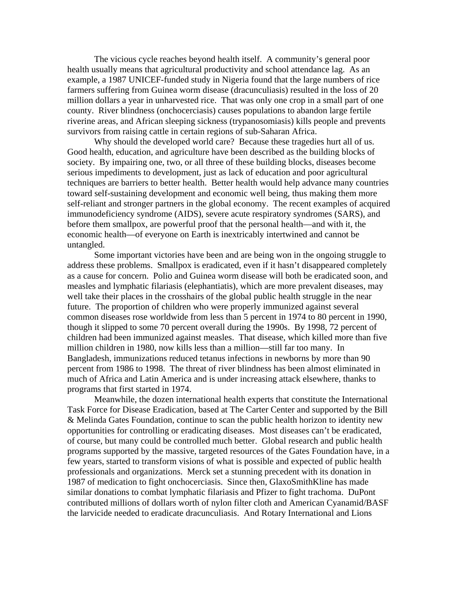The vicious cycle reaches beyond health itself. A community's general poor health usually means that agricultural productivity and school attendance lag. As an example, a 1987 UNICEF-funded study in Nigeria found that the large numbers of rice farmers suffering from Guinea worm disease (dracunculiasis) resulted in the loss of 20 million dollars a year in unharvested rice. That was only one crop in a small part of one county. River blindness (onchocerciasis) causes populations to abandon large fertile riverine areas, and African sleeping sickness (trypanosomiasis) kills people and prevents survivors from raising cattle in certain regions of sub-Saharan Africa.

 Why should the developed world care? Because these tragedies hurt all of us. Good health, education, and agriculture have been described as the building blocks of society. By impairing one, two, or all three of these building blocks, diseases become serious impediments to development, just as lack of education and poor agricultural techniques are barriers to better health. Better health would help advance many countries toward self-sustaining development and economic well being, thus making them more self-reliant and stronger partners in the global economy. The recent examples of acquired immunodeficiency syndrome (AIDS), severe acute respiratory syndromes (SARS), and before them smallpox, are powerful proof that the personal health—and with it, the economic health—of everyone on Earth is inextricably intertwined and cannot be untangled.

 Some important victories have been and are being won in the ongoing struggle to address these problems. Smallpox is eradicated, even if it hasn't disappeared completely as a cause for concern. Polio and Guinea worm disease will both be eradicated soon, and measles and lymphatic filariasis (elephantiatis), which are more prevalent diseases, may well take their places in the crosshairs of the global public health struggle in the near future. The proportion of children who were properly immunized against several common diseases rose worldwide from less than 5 percent in 1974 to 80 percent in 1990, though it slipped to some 70 percent overall during the 1990s. By 1998, 72 percent of children had been immunized against measles. That disease, which killed more than five million children in 1980, now kills less than a million—still far too many. In Bangladesh, immunizations reduced tetanus infections in newborns by more than 90 percent from 1986 to 1998. The threat of river blindness has been almost eliminated in much of Africa and Latin America and is under increasing attack elsewhere, thanks to programs that first started in 1974.

 Meanwhile, the dozen international health experts that constitute the International Task Force for Disease Eradication, based at The Carter Center and supported by the Bill & Melinda Gates Foundation, continue to scan the public health horizon to identity new opportunities for controlling or eradicating diseases. Most diseases can't be eradicated, of course, but many could be controlled much better. Global research and public health programs supported by the massive, targeted resources of the Gates Foundation have, in a few years, started to transform visions of what is possible and expected of public health professionals and organizations. Merck set a stunning precedent with its donation in 1987 of medication to fight onchocerciasis. Since then, GlaxoSmithKline has made similar donations to combat lymphatic filariasis and Pfizer to fight trachoma. DuPont contributed millions of dollars worth of nylon filter cloth and American Cyanamid/BASF the larvicide needed to eradicate dracunculiasis. And Rotary International and Lions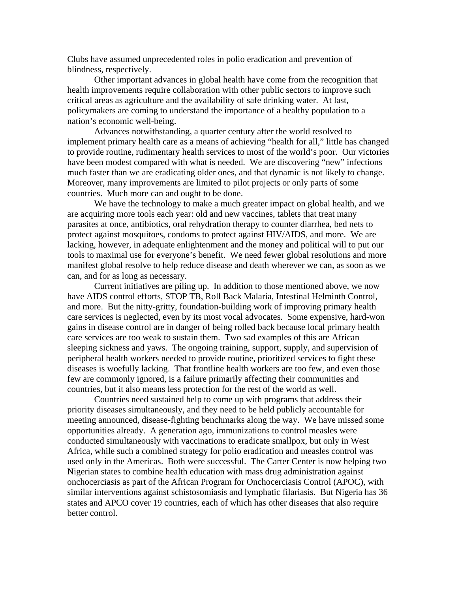Clubs have assumed unprecedented roles in polio eradication and prevention of blindness, respectively.

 Other important advances in global health have come from the recognition that health improvements require collaboration with other public sectors to improve such critical areas as agriculture and the availability of safe drinking water. At last, policymakers are coming to understand the importance of a healthy population to a nation's economic well-being.

 Advances notwithstanding, a quarter century after the world resolved to implement primary health care as a means of achieving "health for all," little has changed to provide routine, rudimentary health services to most of the world's poor. Our victories have been modest compared with what is needed. We are discovering "new" infections much faster than we are eradicating older ones, and that dynamic is not likely to change. Moreover, many improvements are limited to pilot projects or only parts of some countries. Much more can and ought to be done.

 We have the technology to make a much greater impact on global health, and we are acquiring more tools each year: old and new vaccines, tablets that treat many parasites at once, antibiotics, oral rehydration therapy to counter diarrhea, bed nets to protect against mosquitoes, condoms to protect against HIV/AIDS, and more. We are lacking, however, in adequate enlightenment and the money and political will to put our tools to maximal use for everyone's benefit. We need fewer global resolutions and more manifest global resolve to help reduce disease and death wherever we can, as soon as we can, and for as long as necessary.

 Current initiatives are piling up. In addition to those mentioned above, we now have AIDS control efforts, STOP TB, Roll Back Malaria, Intestinal Helminth Control, and more. But the nitty-gritty, foundation-building work of improving primary health care services is neglected, even by its most vocal advocates. Some expensive, hard-won gains in disease control are in danger of being rolled back because local primary health care services are too weak to sustain them. Two sad examples of this are African sleeping sickness and yaws. The ongoing training, support, supply, and supervision of peripheral health workers needed to provide routine, prioritized services to fight these diseases is woefully lacking. That frontline health workers are too few, and even those few are commonly ignored, is a failure primarily affecting their communities and countries, but it also means less protection for the rest of the world as well.

 Countries need sustained help to come up with programs that address their priority diseases simultaneously, and they need to be held publicly accountable for meeting announced, disease-fighting benchmarks along the way. We have missed some opportunities already. A generation ago, immunizations to control measles were conducted simultaneously with vaccinations to eradicate smallpox, but only in West Africa, while such a combined strategy for polio eradication and measles control was used only in the Americas. Both were successful. The Carter Center is now helping two Nigerian states to combine health education with mass drug administration against onchocerciasis as part of the African Program for Onchocerciasis Control (APOC), with similar interventions against schistosomiasis and lymphatic filariasis. But Nigeria has 36 states and APCO cover 19 countries, each of which has other diseases that also require better control.